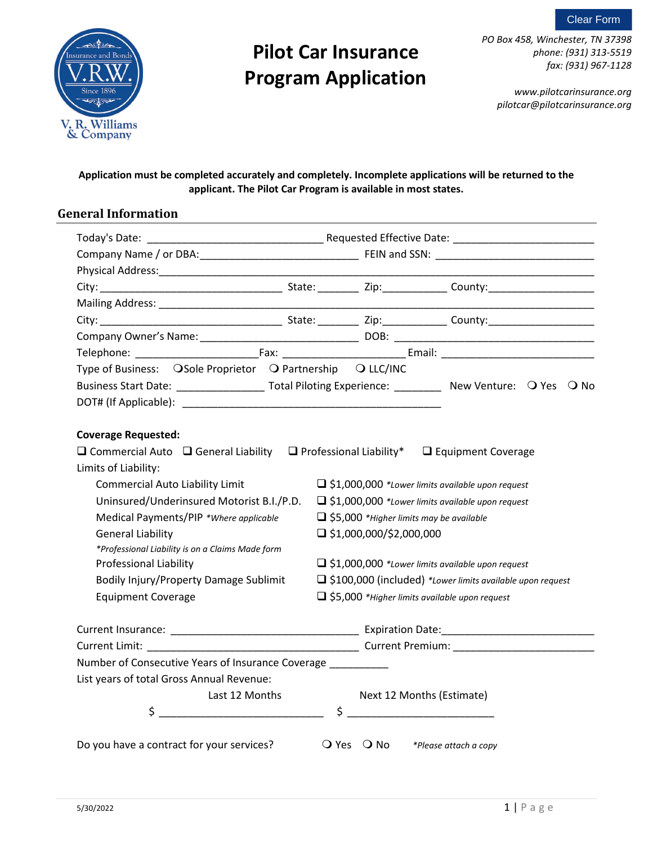



*PO Box 458, Winchester, TN 37398 phone: (931) 313-5519 fax: (931) 967-1128*

*www.pilotcarinsurance.org pilotcar@pilotcarinsurance.org*

#### **Application must be completed accurately and completely. Incomplete applications will be returned to the applicant. The Pilot Car Program is available in most states.**

#### **General Information**

| Type of Business: OSole Proprietor O Partnership O LLC/INC                                                      |  |                                                             |  |  |                                                         |  |
|-----------------------------------------------------------------------------------------------------------------|--|-------------------------------------------------------------|--|--|---------------------------------------------------------|--|
| Business Start Date: _________________________ Total Piloting Experience: _____________ New Venture: Q Yes Q No |  |                                                             |  |  |                                                         |  |
|                                                                                                                 |  |                                                             |  |  |                                                         |  |
|                                                                                                                 |  |                                                             |  |  |                                                         |  |
| <b>Coverage Requested:</b>                                                                                      |  |                                                             |  |  |                                                         |  |
| $\Box$ Commercial Auto $\Box$ General Liability $\Box$ Professional Liability* $\Box$ Equipment Coverage        |  |                                                             |  |  |                                                         |  |
| Limits of Liability:                                                                                            |  |                                                             |  |  |                                                         |  |
| <b>Commercial Auto Liability Limit</b>                                                                          |  | $\Box$ \$1,000,000 *Lower limits available upon request     |  |  |                                                         |  |
| Uninsured/Underinsured Motorist B.I./P.D.                                                                       |  | $\Box$ \$1,000,000 *Lower limits available upon request     |  |  |                                                         |  |
| Medical Payments/PIP * Where applicable                                                                         |  |                                                             |  |  | $\Box$ \$5,000 *Higher limits may be available          |  |
| <b>General Liability</b>                                                                                        |  | $\Box$ \$1,000,000/\$2,000,000                              |  |  |                                                         |  |
| *Professional Liability is on a Claims Made form                                                                |  |                                                             |  |  |                                                         |  |
| <b>Professional Liability</b>                                                                                   |  |                                                             |  |  | $\Box$ \$1,000,000 *Lower limits available upon request |  |
| Bodily Injury/Property Damage Sublimit                                                                          |  | □ \$100,000 (included) *Lower limits available upon request |  |  |                                                         |  |
| <b>Equipment Coverage</b>                                                                                       |  | □ \$5,000 *Higher limits available upon request             |  |  |                                                         |  |
|                                                                                                                 |  |                                                             |  |  |                                                         |  |
|                                                                                                                 |  |                                                             |  |  |                                                         |  |
|                                                                                                                 |  |                                                             |  |  |                                                         |  |
| Number of Consecutive Years of Insurance Coverage __________                                                    |  |                                                             |  |  |                                                         |  |
| List years of total Gross Annual Revenue:                                                                       |  |                                                             |  |  |                                                         |  |
| Last 12 Months                                                                                                  |  |                                                             |  |  | Next 12 Months (Estimate)                               |  |
| \$                                                                                                              |  | $\ddot{\mathsf{S}}$                                         |  |  |                                                         |  |
|                                                                                                                 |  |                                                             |  |  |                                                         |  |
| Do you have a contract for your services?                                                                       |  | $Q$ Yes $Q$ No                                              |  |  | *Please attach a copy                                   |  |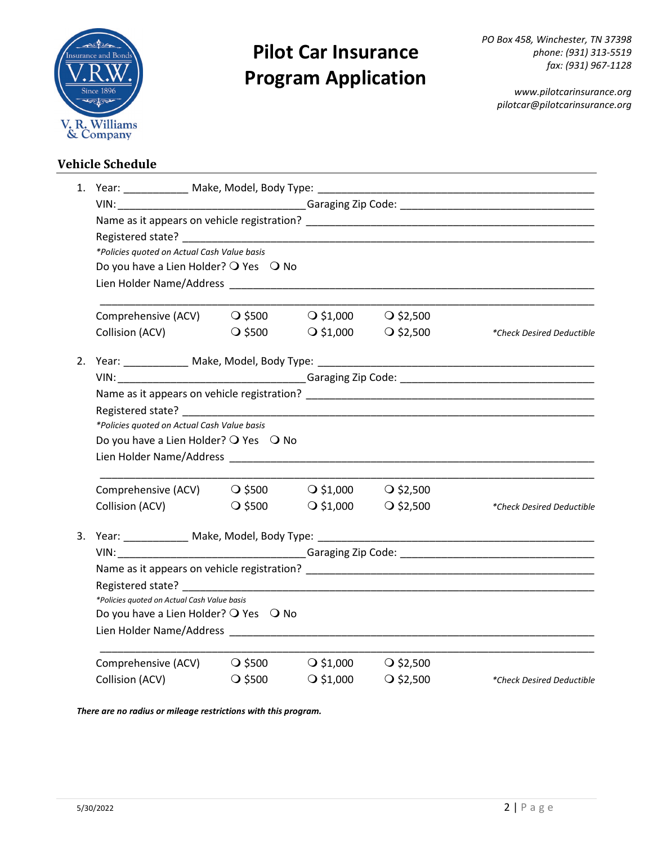

*PO Box 458, Winchester, TN 37398 phone: (931) 313-5519 fax: (931) 967-1128*

*www.pilotcarinsurance.org pilotcar@pilotcarinsurance.org*

#### **Vehicle Schedule**

| *Policies quoted on Actual Cash Value basis                                |                                       |                    |                    |                           |  |  |  |  |
|----------------------------------------------------------------------------|---------------------------------------|--------------------|--------------------|---------------------------|--|--|--|--|
| Do you have a Lien Holder? O Yes O No                                      |                                       |                    |                    |                           |  |  |  |  |
|                                                                            |                                       |                    |                    |                           |  |  |  |  |
| Comprehensive (ACV) $\qquad Q$ \$500 $\qquad Q$ \$1,000 $\qquad Q$ \$2,500 |                                       |                    |                    |                           |  |  |  |  |
| Collision (ACV)                                                            | $\bigcirc$ \$500                      | $\bigcirc$ \$1,000 | $\bigcirc$ \$2,500 | *Check Desired Deductible |  |  |  |  |
|                                                                            |                                       |                    |                    |                           |  |  |  |  |
|                                                                            |                                       |                    |                    |                           |  |  |  |  |
|                                                                            |                                       |                    |                    |                           |  |  |  |  |
|                                                                            |                                       |                    |                    |                           |  |  |  |  |
| *Policies quoted on Actual Cash Value basis                                |                                       |                    |                    |                           |  |  |  |  |
|                                                                            | Do you have a Lien Holder? O Yes O No |                    |                    |                           |  |  |  |  |
|                                                                            |                                       |                    |                    |                           |  |  |  |  |
| Comprehensive (ACV)                                                        | $\bigcirc$ \$500                      | $\bigcirc$ \$1,000 | $Q$ \$2,500        |                           |  |  |  |  |
| Collision (ACV)                                                            | $\bigcirc$ \$500                      | $\bigcirc$ \$1,000 | $\bigcirc$ \$2,500 | *Check Desired Deductible |  |  |  |  |
|                                                                            |                                       |                    |                    |                           |  |  |  |  |
|                                                                            |                                       |                    |                    |                           |  |  |  |  |
|                                                                            |                                       |                    |                    |                           |  |  |  |  |
|                                                                            |                                       |                    |                    |                           |  |  |  |  |
| *Policies quoted on Actual Cash Value basis                                |                                       |                    |                    |                           |  |  |  |  |
| Do you have a Lien Holder? O Yes O No                                      |                                       |                    |                    |                           |  |  |  |  |
|                                                                            |                                       |                    |                    |                           |  |  |  |  |
| Comprehensive (ACV)                                                        | $\bigcirc$ \$500                      | $\bigcirc$ \$1,000 | $\bigcirc$ \$2,500 |                           |  |  |  |  |
| Collision (ACV)                                                            | $\bigcirc$ \$500                      | $\bigcirc$ \$1,000 | $Q$ \$2,500        | *Check Desired Deductible |  |  |  |  |

*There are no radius or mileage restrictions with this program.*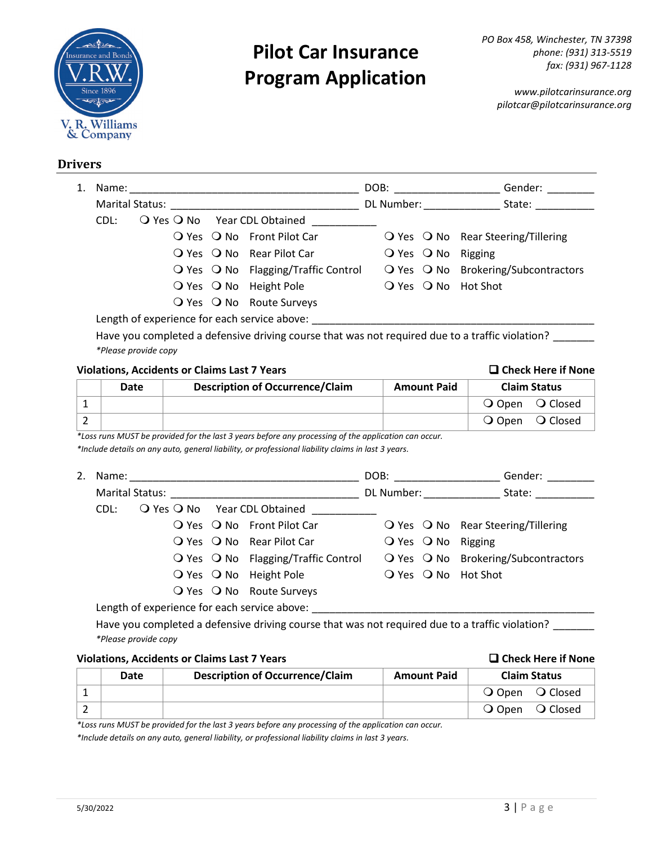

*www.pilotcarinsurance.org pilotcar@pilotcarinsurance.org*

#### **Drivers**

| 1. |                                                                                                                                                                                                                                | Name: Name                                  |  |                                                       |  | DOB:                             | Gender:                                              |
|----|--------------------------------------------------------------------------------------------------------------------------------------------------------------------------------------------------------------------------------|---------------------------------------------|--|-------------------------------------------------------|--|----------------------------------|------------------------------------------------------|
|    | Marital Status: National Status: National Status: National Status: National Status: National Status: National Status: National Status: National Status: National Status: National Status: National Status: National Status: Na |                                             |  |                                                       |  | DL Number: The Muslim of the Sea | State:                                               |
|    | CDL:                                                                                                                                                                                                                           |                                             |  | $\bigcirc$ Yes $\bigcirc$ No Year CDL Obtained        |  |                                  |                                                      |
|    |                                                                                                                                                                                                                                |                                             |  | O Yes O No Front Pilot Car                            |  |                                  | $\bigcirc$ Yes $\bigcirc$ No Rear Steering/Tillering |
|    |                                                                                                                                                                                                                                |                                             |  | $\overline{Q}$ Yes $\overline{Q}$ No Rear Pilot Car   |  |                                  | $Q$ Yes $Q$ No Rigging                               |
|    |                                                                                                                                                                                                                                |                                             |  | $\bigcirc$ Yes $\bigcirc$ No Flagging/Traffic Control |  |                                  | O Yes O No Brokering/Subcontractors                  |
|    |                                                                                                                                                                                                                                |                                             |  | $\bigcirc$ Yes $\bigcirc$ No Height Pole              |  |                                  | $\overline{Q}$ Yes $\overline{Q}$ No Hot Shot        |
|    |                                                                                                                                                                                                                                |                                             |  | O Yes O No Route Surveys                              |  |                                  |                                                      |
|    |                                                                                                                                                                                                                                | angth of experience for each centice above: |  |                                                       |  |                                  |                                                      |

Length of experience for each service above: \_\_\_\_\_\_\_\_\_\_\_\_\_\_\_\_\_\_\_\_\_\_\_\_\_\_\_\_\_\_\_\_\_\_\_

Have you completed a defensive driving course that was not required due to a traffic violation? \_\_\_\_\_\_\_ *\*Please provide copy*

#### **Violations, Accidents or Claims Last 7 Years <b>CHECK HERE IS CHECK HERE IF NONE**

| Date | <b>Description of Occurrence/Claim</b> | <b>Amount Paid</b> | <b>Claim Status</b>             |
|------|----------------------------------------|--------------------|---------------------------------|
|      |                                        |                    | O Open O Closed                 |
|      |                                        |                    | O Closed<br>$\overline{O}$ Open |

*\*Loss runs MUST be provided for the last 3 years before any processing of the application can occur.*

*\*Include details on any auto, general liability, or professional liability claims in last 3 years.*

|                                 |  |                                              |                                                               | DOB:       |  | Gender:                                                       |  |  |
|---------------------------------|--|----------------------------------------------|---------------------------------------------------------------|------------|--|---------------------------------------------------------------|--|--|
| Marital Status: National Status |  |                                              |                                                               | DL Number: |  | State:                                                        |  |  |
| CDL:                            |  |                                              | $\bigcirc$ Yes $\bigcirc$ No Year CDL Obtained                |            |  |                                                               |  |  |
|                                 |  |                                              | $\overline{Q}$ Yes $\overline{Q}$ No Front Pilot Car          |            |  | $\overline{O}$ Yes $\overline{O}$ No Rear Steering/Tillering  |  |  |
|                                 |  |                                              | $\overline{Q}$ Yes $\overline{Q}$ No Rear Pilot Car           |            |  | $\overline{O}$ Yes $\overline{O}$ No Rigging                  |  |  |
|                                 |  |                                              | $\overline{O}$ Yes $\overline{O}$ No Flagging/Traffic Control |            |  | $\overline{O}$ Yes $\overline{O}$ No Brokering/Subcontractors |  |  |
|                                 |  |                                              | O Yes O No Height Pole                                        |            |  | O Yes O No Hot Shot                                           |  |  |
|                                 |  |                                              | O Yes O No Route Surveys                                      |            |  |                                                               |  |  |
|                                 |  | Length of experience for each service above: |                                                               |            |  |                                                               |  |  |

Have you completed a defensive driving course that was not required due to a traffic violation? \_\_\_\_\_\_\_ *\*Please provide copy*

#### **Violations, Accidents or Claims Last 7 Years Check Here if None**

| Date | <b>Description of Occurrence/Claim</b> | <b>Amount Paid</b> | <b>Claim Status</b> |
|------|----------------------------------------|--------------------|---------------------|
|      |                                        |                    | O Open O Closed     |
|      |                                        |                    | O Open O Closed     |

*\*Loss runs MUST be provided for the last 3 years before any processing of the application can occur.*

*\*Include details on any auto, general liability, or professional liability claims in last 3 years.*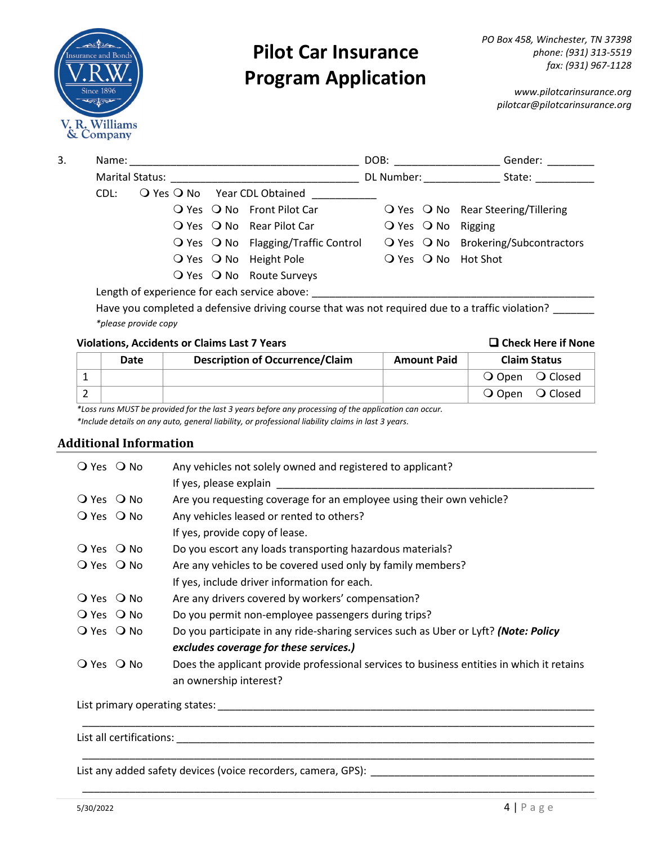

*www.pilotcarinsurance.org pilotcar@pilotcarinsurance.org*

| 3. | Name: |                        |                                                               | DOB:                   | Gender:                                                      |
|----|-------|------------------------|---------------------------------------------------------------|------------------------|--------------------------------------------------------------|
|    |       | <b>Marital Status:</b> |                                                               | DL Number:             | State:                                                       |
|    | CDL:  |                        | $\bigcirc$ Yes $\bigcirc$ No Year CDL Obtained                |                        |                                                              |
|    |       |                        | $\overline{Q}$ Yes $\overline{Q}$ No Front Pilot Car          |                        | $\overline{O}$ Yes $\overline{O}$ No Rear Steering/Tillering |
|    |       |                        | O Yes O No Rear Pilot Car                                     | $Q$ Yes $Q$ No Rigging |                                                              |
|    |       |                        | $\overline{O}$ Yes $\overline{O}$ No Flagging/Traffic Control |                        | O Yes O No Brokering/Subcontractors                          |
|    |       |                        | $\bigcirc$ Yes $\bigcirc$ No Height Pole                      |                        | $\overline{Q}$ Yes $\overline{Q}$ No Hot Shot                |
|    |       |                        | O Yes O No Route Surveys                                      |                        |                                                              |
|    |       | .                      |                                                               |                        |                                                              |

Length of experience for each service above: \_\_\_\_\_\_\_\_\_\_\_\_\_\_\_\_\_\_\_\_\_\_\_\_\_\_\_\_\_\_\_\_\_\_\_

Have you completed a defensive driving course that was not required due to a traffic violation? \_\_\_\_\_\_\_ *\*please provide copy*

#### **Violations, Accidents or Claims Last 7 Years Check Here if None**

### **Date Description of Occurrence/Claim Amount Paid Claim Status** 1 | **O** Open **O** Closed 2 | Conservation of the conservation of the conservation of the conservation of the conservation of the conservation of the conservation of the conservation of the conservation of the conservation of the conservation of th

*\*Loss runs MUST be provided for the last 3 years before any processing of the application can occur.*

*\*Include details on any auto, general liability, or professional liability claims in last 3 years.*

#### **Additional Information**

| $Q$ Yes $Q$ No | Any vehicles not solely owned and registered to applicant?<br>If yes, please explain      |
|----------------|-------------------------------------------------------------------------------------------|
| $Q$ Yes $Q$ No | Are you requesting coverage for an employee using their own vehicle?                      |
| $Q$ Yes $Q$ No | Any vehicles leased or rented to others?                                                  |
|                | If yes, provide copy of lease.                                                            |
| $Q$ Yes $Q$ No | Do you escort any loads transporting hazardous materials?                                 |
| $Q$ Yes $Q$ No | Are any vehicles to be covered used only by family members?                               |
|                | If yes, include driver information for each.                                              |
| $Q$ Yes $Q$ No | Are any drivers covered by workers' compensation?                                         |
| $Q$ Yes $Q$ No | Do you permit non-employee passengers during trips?                                       |
| $Q$ Yes $Q$ No | Do you participate in any ride-sharing services such as Uber or Lyft? (Note: Policy       |
|                | excludes coverage for these services.)                                                    |
| $Q$ Yes $Q$ No | Does the applicant provide professional services to business entities in which it retains |
|                | an ownership interest?                                                                    |
|                |                                                                                           |

\_\_\_\_\_\_\_\_\_\_\_\_\_\_\_\_\_\_\_\_\_\_\_\_\_\_\_\_\_\_\_\_\_\_\_\_\_\_\_\_\_\_\_\_\_\_\_\_\_\_\_\_\_\_\_\_\_\_\_\_\_\_\_\_\_\_\_\_\_\_\_\_\_\_\_\_\_\_\_\_\_\_\_\_\_\_\_

\_\_\_\_\_\_\_\_\_\_\_\_\_\_\_\_\_\_\_\_\_\_\_\_\_\_\_\_\_\_\_\_\_\_\_\_\_\_\_\_\_\_\_\_\_\_\_\_\_\_\_\_\_\_\_\_\_\_\_\_\_\_\_\_\_\_\_\_\_\_\_\_\_\_\_\_\_\_\_\_\_\_\_\_\_\_\_

List primary operating states: \_\_\_\_\_\_\_\_\_\_\_\_\_\_\_\_\_\_\_\_\_\_\_\_\_\_\_\_\_\_\_\_\_\_\_\_\_\_\_\_\_\_\_\_\_\_\_\_\_\_\_\_\_\_\_\_\_\_\_\_\_\_\_\_

List all certifications: \_\_\_\_\_\_\_\_\_\_\_\_\_\_\_\_\_\_\_\_\_\_\_\_\_\_\_\_\_\_\_\_\_\_\_\_\_\_\_\_\_\_\_\_\_\_\_\_\_\_\_\_\_\_\_\_\_\_\_\_\_\_\_\_\_\_\_\_\_\_\_

List any added safety devices (voice recorders, camera, GPS): \_\_\_\_\_\_\_\_\_\_\_\_\_\_\_\_\_\_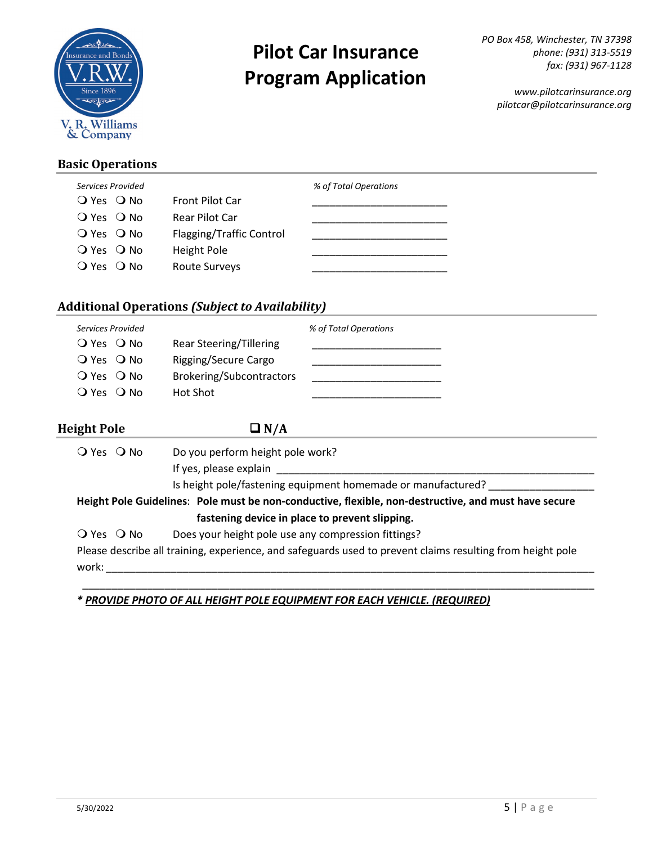

*www.pilotcarinsurance.org pilotcar@pilotcarinsurance.org*

### **Basic Operations**

| Services Provided |                          | % of Total Operations |
|-------------------|--------------------------|-----------------------|
| $Q$ Yes $Q$ No    | <b>Front Pilot Car</b>   |                       |
| $Q$ Yes $Q$ No    | Rear Pilot Car           |                       |
| $Q$ Yes $Q$ No    | Flagging/Traffic Control |                       |
| $Q$ Yes $Q$ No    | <b>Height Pole</b>       |                       |
| $Q$ Yes $Q$ No    | <b>Route Surveys</b>     |                       |
|                   |                          |                       |

### **Additional Operations** *(Subject to Availability)*

| Services Provided<br>O Yes O No<br>$\overline{O}$ Yes $\overline{O}$ No<br>$\overline{O}$ Yes $\overline{O}$ No<br>O Yes O No | Rear Steering/Tillering<br>Rigging/Secure Cargo<br>Brokering/Subcontractors<br>Hot Shot | % of Total Operations                                                                                      |
|-------------------------------------------------------------------------------------------------------------------------------|-----------------------------------------------------------------------------------------|------------------------------------------------------------------------------------------------------------|
| Height Pole                                                                                                                   | $\Box N/A$                                                                              |                                                                                                            |
| $\bigcirc$ Yes $\bigcirc$ No                                                                                                  | Do you perform height pole work?<br>If yes, please explain                              | Is height pole/fastening equipment homemade or manufactured?                                               |
|                                                                                                                               |                                                                                         | Height Pole Guidelines: Pole must be non-conductive, flexible, non-destructive, and must have secure       |
|                                                                                                                               | fastening device in place to prevent slipping.                                          |                                                                                                            |
| $\bigcirc$ Yes $\bigcirc$ No                                                                                                  | Does your height pole use any compression fittings?                                     |                                                                                                            |
| work:                                                                                                                         |                                                                                         | Please describe all training, experience, and safeguards used to prevent claims resulting from height pole |

\_\_\_\_\_\_\_\_\_\_\_\_\_\_\_\_\_\_\_\_\_\_\_\_\_\_\_\_\_\_\_\_\_\_\_\_\_\_\_\_\_\_\_\_\_\_\_\_\_\_\_\_\_\_\_\_\_\_\_\_\_\_\_\_\_\_\_\_\_\_\_\_\_\_\_\_\_\_\_\_\_\_\_\_\_\_\_

*\* PROVIDE PHOTO OF ALL HEIGHT POLE EQUIPMENT FOR EACH VEHICLE. (REQUIRED)*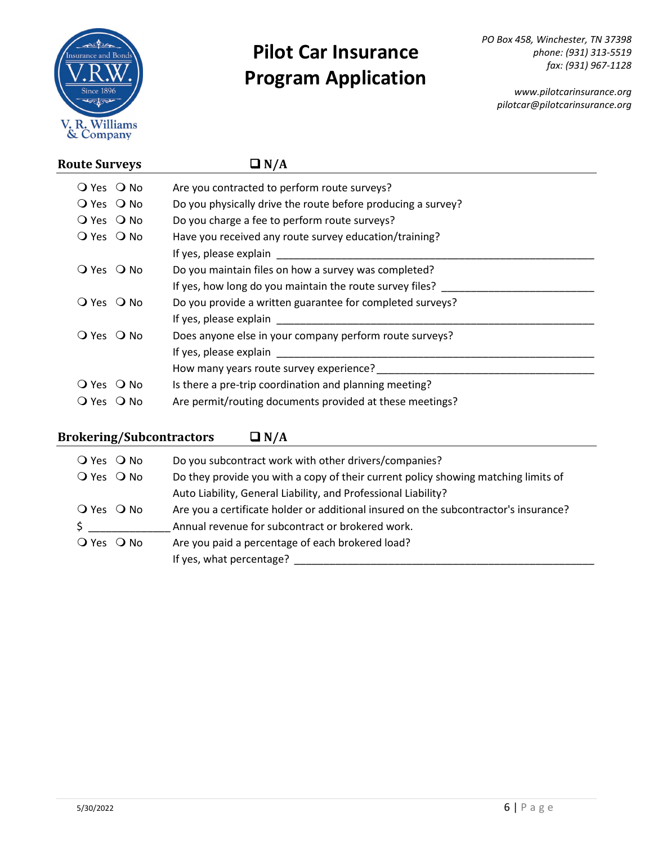

*PO Box 458, Winchester, TN 37398 phone: (931) 313-5519 fax: (931) 967-1128*

*www.pilotcarinsurance.org pilotcar@pilotcarinsurance.org*

| <b>Route Surveys</b>                 | $\Box N/A$                                                                                                                                                                                                                     |
|--------------------------------------|--------------------------------------------------------------------------------------------------------------------------------------------------------------------------------------------------------------------------------|
| $Q$ Yes $Q$ No                       | Are you contracted to perform route surveys?                                                                                                                                                                                   |
| $Q$ Yes $Q$ No                       | Do you physically drive the route before producing a survey?                                                                                                                                                                   |
| $Q$ Yes $Q$ No                       | Do you charge a fee to perform route surveys?                                                                                                                                                                                  |
| $Q$ Yes $Q$ No                       | Have you received any route survey education/training?                                                                                                                                                                         |
|                                      |                                                                                                                                                                                                                                |
| O Yes O No                           | Do you maintain files on how a survey was completed?                                                                                                                                                                           |
|                                      | If yes, how long do you maintain the route survey files?                                                                                                                                                                       |
| O Yes O No                           | Do you provide a written guarantee for completed surveys?                                                                                                                                                                      |
|                                      | If yes, please explain and the state of the state of the state of the state of the state of the state of the state of the state of the state of the state of the state of the state of the state of the state of the state of  |
| $Q$ Yes $Q$ No                       | Does anyone else in your company perform route surveys?                                                                                                                                                                        |
|                                      | If yes, please explain                                                                                                                                                                                                         |
|                                      | How many years route survey experience? The many years of the state of the state of the state of the state of the state of the state of the state of the state of the state of the state of the state of the state of the stat |
| O Yes O No                           | Is there a pre-trip coordination and planning meeting?                                                                                                                                                                         |
| $\overline{O}$ Yes $\overline{O}$ No | Are permit/routing documents provided at these meetings?                                                                                                                                                                       |

### **Brokering/Subcontractors**  $\Box N/A$

| $Q$ Yes $Q$ No | Do you subcontract work with other drivers/companies?                                |
|----------------|--------------------------------------------------------------------------------------|
| O Yes O No     | Do they provide you with a copy of their current policy showing matching limits of   |
|                | Auto Liability, General Liability, and Professional Liability?                       |
| $Q$ Yes $Q$ No | Are you a certificate holder or additional insured on the subcontractor's insurance? |
| \$             | Annual revenue for subcontract or brokered work.                                     |
| $Q$ Yes $Q$ No | Are you paid a percentage of each brokered load?                                     |
|                | If yes, what percentage?                                                             |